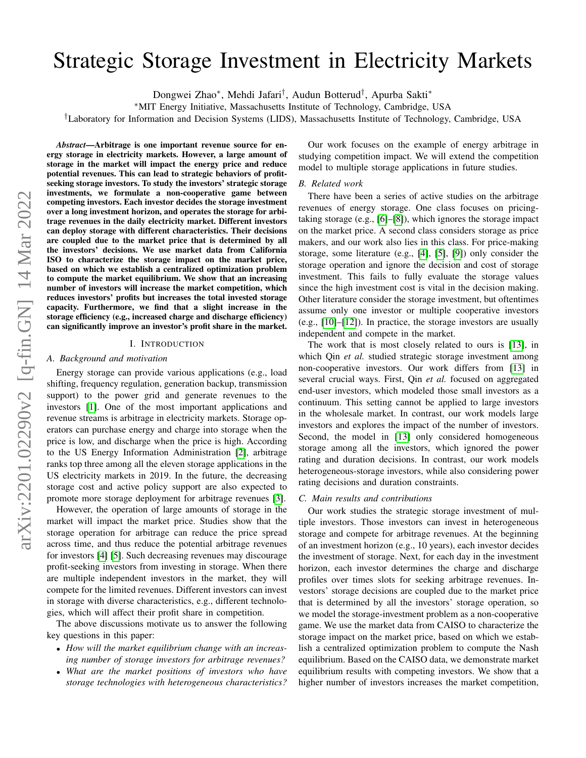# Strategic Storage Investment in Electricity Markets

Dongwei Zhao<sup>∗</sup> , Mehdi Jafari† , Audun Botterud† , Apurba Sakti<sup>∗</sup>

<sup>∗</sup>MIT Energy Initiative, Massachusetts Institute of Technology, Cambridge, USA

†Laboratory for Information and Decision Systems (LIDS), Massachusetts Institute of Technology, Cambridge, USA

*Abstract*—Arbitrage is one important revenue source for energy storage in electricity markets. However, a large amount of storage in the market will impact the energy price and reduce potential revenues. This can lead to strategic behaviors of profitseeking storage investors. To study the investors' strategic storage investments, we formulate a non-cooperative game between competing investors. Each investor decides the storage investment over a long investment horizon, and operates the storage for arbitrage revenues in the daily electricity market. Different investors can deploy storage with different characteristics. Their decisions are coupled due to the market price that is determined by all the investors' decisions. We use market data from California ISO to characterize the storage impact on the market price, based on which we establish a centralized optimization problem to compute the market equilibrium. We show that an increasing number of investors will increase the market competition, which reduces investors' profits but increases the total invested storage capacity. Furthermore, we find that a slight increase in the storage efficiency (e.g., increased charge and discharge efficiency) can significantly improve an investor's profit share in the market.

#### I. INTRODUCTION

## *A. Background and motivation*

Energy storage can provide various applications (e.g., load shifting, frequency regulation, generation backup, transmission support) to the power grid and generate revenues to the investors [\[1\]](#page-4-0). One of the most important applications and revenue streams is arbitrage in electricity markets. Storage operators can purchase energy and charge into storage when the price is low, and discharge when the price is high. According to the US Energy Information Administration [\[2\]](#page-4-1), arbitrage ranks top three among all the eleven storage applications in the US electricity markets in 2019. In the future, the decreasing storage cost and active policy support are also expected to promote more storage deployment for arbitrage revenues [\[3\]](#page-4-2).

However, the operation of large amounts of storage in the market will impact the market price. Studies show that the storage operation for arbitrage can reduce the price spread across time, and thus reduce the potential arbitrage revenues for investors [\[4\]](#page-4-3) [\[5\]](#page-4-4). Such decreasing revenues may discourage profit-seeking investors from investing in storage. When there are multiple independent investors in the market, they will compete for the limited revenues. Different investors can invest in storage with diverse characteristics, e.g., different technologies, which will affect their profit share in competition.

The above discussions motivate us to answer the following key questions in this paper:

- *How will the market equilibrium change with an increasing number of storage investors for arbitrage revenues?*
- *What are the market positions of investors who have storage technologies with heterogeneous characteristics?*

Our work focuses on the example of energy arbitrage in studying competition impact. We will extend the competition model to multiple storage applications in future studies.

#### *B. Related work*

There have been a series of active studies on the arbitrage revenues of energy storage. One class focuses on pricingtaking storage (e.g., [\[6\]](#page-4-5)–[\[8\]](#page-4-6)), which ignores the storage impact on the market price. A second class considers storage as price makers, and our work also lies in this class. For price-making storage, some literature (e.g., [\[4\]](#page-4-3), [\[5\]](#page-4-4), [\[9\]](#page-4-7)) only consider the storage operation and ignore the decision and cost of storage investment. This fails to fully evaluate the storage values since the high investment cost is vital in the decision making. Other literature consider the storage investment, but oftentimes assume only one investor or multiple cooperative investors (e.g., [\[10\]](#page-4-8)–[\[12\]](#page-4-9)). In practice, the storage investors are usually independent and compete in the market.

The work that is most closely related to ours is [\[13\]](#page-4-10), in which Qin *et al.* studied strategic storage investment among non-cooperative investors. Our work differs from [\[13\]](#page-4-10) in several crucial ways. First, Qin *et al.* focused on aggregated end-user investors, which modeled those small investors as a continuum. This setting cannot be applied to large investors in the wholesale market. In contrast, our work models large investors and explores the impact of the number of investors. Second, the model in [\[13\]](#page-4-10) only considered homogeneous storage among all the investors, which ignored the power rating and duration decisions. In contrast, our work models heterogeneous-storage investors, while also considering power rating decisions and duration constraints.

# *C. Main results and contributions*

Our work studies the strategic storage investment of multiple investors. Those investors can invest in heterogeneous storage and compete for arbitrage revenues. At the beginning of an investment horizon (e.g., 10 years), each investor decides the investment of storage. Next, for each day in the investment horizon, each investor determines the charge and discharge profiles over times slots for seeking arbitrage revenues. Investors' storage decisions are coupled due to the market price that is determined by all the investors' storage operation, so we model the storage-investment problem as a non-cooperative game. We use the market data from CAISO to characterize the storage impact on the market price, based on which we establish a centralized optimization problem to compute the Nash equilibrium. Based on the CAISO data, we demonstrate market equilibrium results with competing investors. We show that a higher number of investors increases the market competition,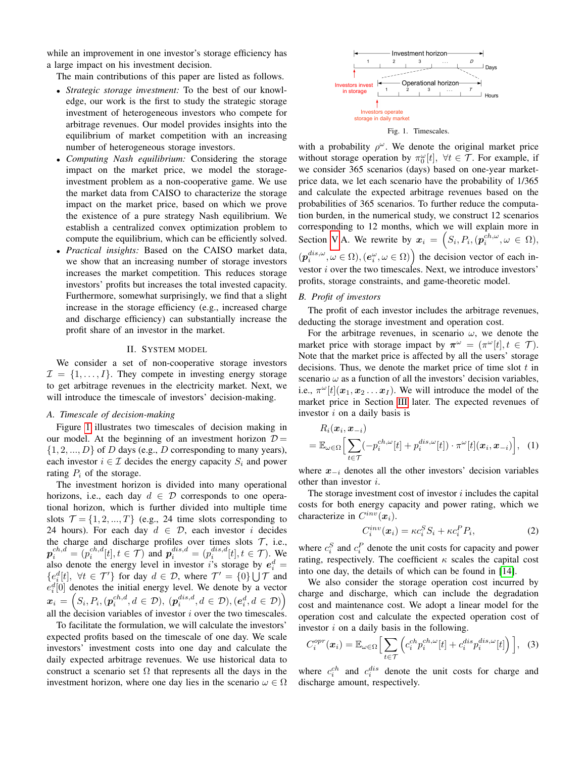while an improvement in one investor's storage efficiency has a large impact on his investment decision.

The main contributions of this paper are listed as follows.

- *Strategic storage investment:* To the best of our knowledge, our work is the first to study the strategic storage investment of heterogeneous investors who compete for arbitrage revenues. Our model provides insights into the equilibrium of market competition with an increasing number of heterogeneous storage investors.
- *Computing Nash equilibrium:* Considering the storage impact on the market price, we model the storageinvestment problem as a non-cooperative game. We use the market data from CAISO to characterize the storage impact on the market price, based on which we prove the existence of a pure strategy Nash equilibrium. We establish a centralized convex optimization problem to compute the equilibrium, which can be efficiently solved.
- *Practical insights:* Based on the CAISO market data, we show that an increasing number of storage investors increases the market competition. This reduces storage investors' profits but increases the total invested capacity. Furthermore, somewhat surprisingly, we find that a slight increase in the storage efficiency (e.g., increased charge and discharge efficiency) can substantially increase the profit share of an investor in the market.

## II. SYSTEM MODEL

We consider a set of non-cooperative storage investors  $\mathcal{I} = \{1, \ldots, I\}$ . They compete in investing energy storage to get arbitrage revenues in the electricity market. Next, we will introduce the timescale of investors' decision-making.

# *A. Timescale of decision-making*

Figure [1](#page-1-0) illustrates two timescales of decision making in our model. At the beginning of an investment horizon  $D =$  $\{1, 2, ..., D\}$  of D days (e.g., D corresponding to many years), each investor  $i \in \mathcal{I}$  decides the energy capacity  $S_i$  and power rating  $P_i$  of the storage.

The investment horizon is divided into many operational horizons, i.e., each day  $d \in \mathcal{D}$  corresponds to one operational horizon, which is further divided into multiple time slots  $\mathcal{T} = \{1, 2, ..., T\}$  (e.g., 24 time slots corresponding to 24 hours). For each day  $d \in \mathcal{D}$ , each investor i decides the charge and discharge profiles over times slots  $\mathcal{T}$ , i.e.,  $p_i^{ch,d} = (p_i^{ch,d}[t], t \in \mathcal{T})$  and  $p_i^{dis,d} = (p_i^{dis,d}[t], t \in \mathcal{T})$ . We also denote the energy level in investor is storage by  $e_i^d =$  $\{e_i^d[t], \forall t \in \mathcal{T}'\}$  for day  $d \in \mathcal{D}$ , where  $\mathcal{T}' = \{0\} \cup \mathcal{T}$  and  $e_i^d[0]$  denotes the initial energy level. We denote by a vector  $\boldsymbol{x}_i = \left(S_i, P_i, (\boldsymbol{p}_i^{ch,d}, d \in \mathcal{D}), (\boldsymbol{p}_i^{dis,d}, d \in \mathcal{D}), (\boldsymbol{e}_i^d, d \in \mathcal{D})\right)$ all the decision variables of investor  $i$  over the two timescales.

To facilitate the formulation, we will calculate the investors' expected profits based on the timescale of one day. We scale investors' investment costs into one day and calculate the daily expected arbitrage revenues. We use historical data to construct a scenario set  $\Omega$  that represents all the days in the investment horizon, where one day lies in the scenario  $\omega \in \Omega$ 



<span id="page-1-0"></span>Fig. 1. Timescales.

with a probability  $\rho^{\omega}$ . We denote the original market price without storage operation by  $\pi_0^{\omega}[t]$ ,  $\forall t \in \mathcal{T}$ . For example, if we consider 365 scenarios (days) based on one-year marketprice data, we let each scenario have the probability of 1/365 and calculate the expected arbitrage revenues based on the probabilities of 365 scenarios. To further reduce the computation burden, in the numerical study, we construct 12 scenarios corresponding to 12 months, which we will explain more in Section [V.](#page-3-0)A. We rewrite by  $x_i = \left( S_i, P_i, (p_i^{ch,\omega}, \omega \in \Omega), \right)$  $(p_i^{dis,\omega}, \omega \in \Omega), (e_i^{\omega}, \omega \in \Omega)$  the decision vector of each investor i over the two timescales. Next, we introduce investors' profits, storage constraints, and game-theoretic model.

# *B. Profit of investors*

The profit of each investor includes the arbitrage revenues, deducting the storage investment and operation cost.

For the arbitrage revenues, in scenario  $\omega$ , we denote the market price with storage impact by  $\pi^{\omega} = (\pi^{\omega}[t], t \in \mathcal{T})$ . Note that the market price is affected by all the users' storage decisions. Thus, we denote the market price of time slot  $t$  in scenario  $\omega$  as a function of all the investors' decision variables, i.e.,  $\pi^{\omega}[t](x_1, x_2 \dots x_I)$ . We will introduce the model of the market price in Section [III](#page-2-0) later. The expected revenues of investor  $i$  on a daily basis is

$$
R_i(\boldsymbol{x}_i, \boldsymbol{x}_{-i})
$$
  
=  $\mathbb{E}_{\omega \in \Omega} \Big[ \sum_{t \in \mathcal{T}} (-p_i^{ch, \omega}[t] + p_i^{dis, \omega}[t]) \cdot \pi^{\omega}[t](\boldsymbol{x}_i, \boldsymbol{x}_{-i}) \Big],$  (1)

where  $x_{-i}$  denotes all the other investors' decision variables other than investor i.

The storage investment cost of investor  $i$  includes the capital costs for both energy capacity and power rating, which we characterize in  $C^{inv}(\boldsymbol{x}_i)$ .

$$
C_i^{inv}(\boldsymbol{x}_i) = \kappa c_i^S S_i + \kappa c_i^P P_i,\tag{2}
$$

where  $c_i^S$  and  $c_i^P$  denote the unit costs for capacity and power rating, respectively. The coefficient  $\kappa$  scales the capital cost into one day, the details of which can be found in [\[14\]](#page-4-11).

We also consider the storage operation cost incurred by charge and discharge, which can include the degradation cost and maintenance cost. We adopt a linear model for the operation cost and calculate the expected operation cost of investor  $i$  on a daily basis in the following.

$$
C_i^{opr}(\boldsymbol{x}_i) = \mathbb{E}_{\omega \in \Omega} \Big[ \sum_{t \in \mathcal{T}} \Big( c_i^{ch} p_i^{ch, \omega} [t] + c_i^{dis} p_i^{dis, \omega} [t] \Big) \Big], \quad (3)
$$

where  $c_i^{ch}$  and  $c_i^{dis}$  denote the unit costs for charge and discharge amount, respectively.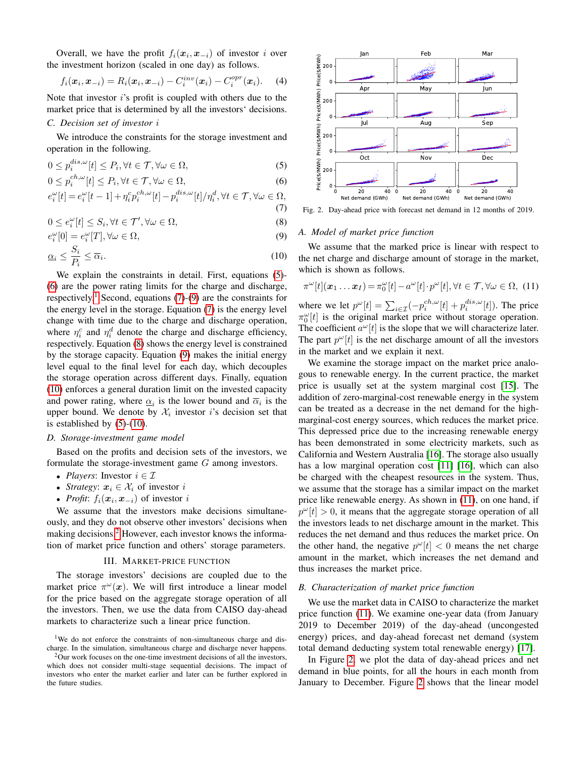Overall, we have the profit  $f_i(\mathbf{x}_i, \mathbf{x}_{-i})$  of investor i over the investment horizon (scaled in one day) as follows.

$$
f_i(\bm{x}_i, \bm{x}_{-i}) = R_i(\bm{x}_i, \bm{x}_{-i}) - C_i^{inv}(\bm{x}_i) - C_i^{opr}(\bm{x}_i). \quad (4)
$$

Note that investor  $i$ 's profit is coupled with others due to the market price that is determined by all the investors' decisions. *C. Decision set of investor* i

We introduce the constraints for the storage investment and operation in the following.

$$
0 \le p_i^{dis,\omega}[t] \le P_i, \forall t \in \mathcal{T}, \forall \omega \in \Omega,
$$
\n
$$
(5)
$$

$$
0 \le p_i^{ch,\omega}[t] \le P_i, \forall t \in \mathcal{T}, \forall \omega \in \Omega,
$$
\n
$$
(6)
$$

$$
e_i^{\omega}[t] = e_i^{\omega}[t-1] + \eta_i^c p_i^{ch, \omega}[t] - p_i^{dis, \omega}[t] / \eta_i^d, \forall t \in \mathcal{T}, \forall \omega \in \Omega,
$$
\n(7)

$$
0 \le e_i^{\omega}[t] \le S_i, \forall t \in \mathcal{T}', \forall \omega \in \Omega,
$$
\n
$$
(8)
$$

$$
e_i^{\omega}[0] = e_i^{\omega}[T], \forall \omega \in \Omega,
$$
\n(9)

$$
\underline{\alpha}_i \le \frac{S_i}{P_i} \le \overline{\alpha}_i. \tag{10}
$$

We explain the constraints in detail. First, equations [\(5\)](#page-2-1)-[\(6\)](#page-2-2) are the power rating limits for the charge and discharge, respectively.<sup>[1](#page-2-3)</sup> Second, equations  $(7)-(9)$  $(7)-(9)$  $(7)-(9)$  are the constraints for the energy level in the storage. Equation [\(7\)](#page-2-4) is the energy level change with time due to the charge and discharge operation, where  $\eta_i^c$  and  $\eta_i^d$  denote the charge and discharge efficiency, respectively. Equation [\(8\)](#page-2-6) shows the energy level is constrained by the storage capacity. Equation [\(9\)](#page-2-5) makes the initial energy level equal to the final level for each day, which decouples the storage operation across different days. Finally, equation [\(10\)](#page-2-7) enforces a general duration limit on the invested capacity and power rating, where  $\underline{\alpha}_i$  is the lower bound and  $\overline{\alpha}_i$  is the upper bound. We denote by  $\mathcal{X}_i$  investor i's decision set that is established by  $(5)-(10)$  $(5)-(10)$  $(5)-(10)$ .

# *D. Storage-investment game model*

Based on the profits and decision sets of the investors, we formulate the storage-investment game G among investors.

- *Players*: Investor  $i \in \mathcal{I}$
- *Strategy:*  $x_i \in \mathcal{X}_i$  of investor i
- *Profit:*  $f_i(x_i, x_{-i})$  of investor i

We assume that the investors make decisions simultaneously, and they do not observe other investors' decisions when making decisions.<sup>[2](#page-2-8)</sup> However, each investor knows the information of market price function and others' storage parameters.

# III. MARKET-PRICE FUNCTION

<span id="page-2-0"></span>The storage investors' decisions are coupled due to the market price  $\pi^{\omega}(x)$ . We will first introduce a linear model for the price based on the aggregate storage operation of all the investors. Then, we use the data from CAISO day-ahead markets to characterize such a linear price function.

<span id="page-2-3"></span><sup>1</sup>We do not enforce the constraints of non-simultaneous charge and discharge. In the simulation, simultaneous charge and discharge never happens.



<span id="page-2-10"></span><span id="page-2-6"></span><span id="page-2-4"></span><span id="page-2-2"></span><span id="page-2-1"></span>Fig. 2. Day-ahead price with forecast net demand in 12 months of 2019.

# <span id="page-2-5"></span>*A. Model of market price function*

<span id="page-2-7"></span>We assume that the marked price is linear with respect to the net charge and discharge amount of storage in the market, which is shown as follows.

<span id="page-2-9"></span>
$$
\pi^{\omega}[t](\boldsymbol{x}_1 \dots \boldsymbol{x}_I) = \pi_0^{\omega}[t] - a^{\omega}[t] \cdot p^{\omega}[t], \forall t \in \mathcal{T}, \forall \omega \in \Omega, (11)
$$

where we let  $p^{\omega}[t] = \sum_{i \in \mathcal{I}} (-p_i^{ch,\omega}[t] + p_i^{dis,\omega}[t])$ . The price  $\pi_0^{\omega}[t]$  is the original market price without storage operation. The coefficient  $a^{\omega}[t]$  is the slope that we will characterize later. The part  $p^{\omega}[t]$  is the net discharge amount of all the investors in the market and we explain it next.

We examine the storage impact on the market price analogous to renewable energy. In the current practice, the market price is usually set at the system marginal cost [\[15\]](#page-4-12). The addition of zero-marginal-cost renewable energy in the system can be treated as a decrease in the net demand for the highmarginal-cost energy sources, which reduces the market price. This depressed price due to the increasing renewable energy has been demonstrated in some electricity markets, such as California and Western Australia [\[16\]](#page-5-0). The storage also usually has a low marginal operation cost [\[11\]](#page-4-13) [\[16\]](#page-5-0), which can also be charged with the cheapest resources in the system. Thus, we assume that the storage has a similar impact on the market price like renewable energy. As shown in [\(11\)](#page-2-9), on one hand, if  $p^{\omega}[t] > 0$ , it means that the aggregate storage operation of all the investors leads to net discharge amount in the market. This reduces the net demand and thus reduces the market price. On the other hand, the negative  $p^{\omega}[t] < 0$  means the net charge amount in the market, which increases the net demand and thus increases the market price.

### *B. Characterization of market price function*

We use the market data in CAISO to characterize the market price function [\(11\)](#page-2-9). We examine one-year data (from January 2019 to December 2019) of the day-ahead (uncongested energy) prices, and day-ahead forecast net demand (system total demand deducting system total renewable energy) [\[17\]](#page-5-1).

In Figure [2,](#page-2-10) we plot the data of day-ahead prices and net demand in blue points, for all the hours in each month from January to December. Figure [2](#page-2-10) shows that the linear model

<span id="page-2-8"></span> $2$ Our work focuses on the one-time investment decisions of all the investors, which does not consider multi-stage sequential decisions. The impact of investors who enter the market earlier and later can be further explored in the future studies.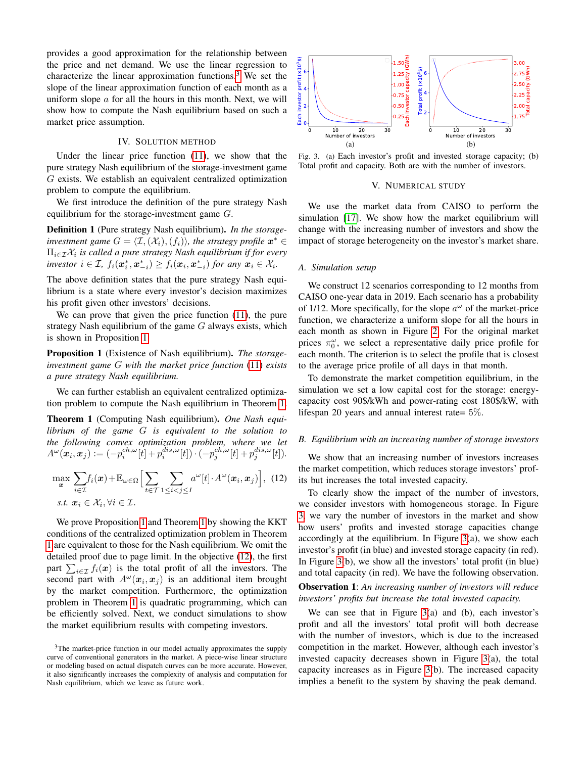provides a good approximation for the relationship between the price and net demand. We use the linear regression to characterize the linear approximation functions.<sup>[3](#page-3-1)</sup> We set the slope of the linear approximation function of each month as a uniform slope  $\alpha$  for all the hours in this month. Next, we will show how to compute the Nash equilibrium based on such a market price assumption.

# IV. SOLUTION METHOD

Under the linear price function [\(11\)](#page-2-9), we show that the pure strategy Nash equilibrium of the storage-investment game G exists. We establish an equivalent centralized optimization problem to compute the equilibrium.

We first introduce the definition of the pure strategy Nash equilibrium for the storage-investment game G.

Definition 1 (Pure strategy Nash equilibrium). *In the storageinvestment game*  $G = \langle \mathcal{I}, (\mathcal{X}_i), (f_i) \rangle$ *, the strategy profile*  $\mathbf{x}^* \in \mathcal{I}$ Πi∈IX<sup>i</sup> *is called a pure strategy Nash equilibrium if for every investor*  $i \in \mathcal{I}$ ,  $f_i(\boldsymbol{x}_i^*, \boldsymbol{x}_{-i}^*) \geq f_i(\boldsymbol{x}_i, \boldsymbol{x}_{-i}^*)$  *for any*  $\boldsymbol{x}_i \in \mathcal{X}_i$ .

The above definition states that the pure strategy Nash equilibrium is a state where every investor's decision maximizes his profit given other investors' decisions.

We can prove that given the price function [\(11\)](#page-2-9), the pure strategy Nash equilibrium of the game  $G$  always exists, which is shown in Proposition [1.](#page-3-2)

<span id="page-3-2"></span>Proposition 1 (Existence of Nash equilibrium). *The storageinvestment game* G *with the market price function* [\(11\)](#page-2-9) *exists a pure strategy Nash equilibrium.*

We can further establish an equivalent centralized optimization problem to compute the Nash equilibrium in Theorem [1.](#page-3-3)

<span id="page-3-3"></span>Theorem 1 (Computing Nash equilibrium). *One Nash equilibrium of the game* G *is equivalent to the solution to the following convex optimization problem, where we let*  $A^{\omega}(\boldsymbol{x}_i, \boldsymbol{x}_j) := (-p_i^{ch, \omega}[\bar{t}] + p_i^{dis, \omega}[t]) \cdot (-p_j^{ch, \omega}[t] + p_j^{dis, \omega}[t]).$ 

$$
\max_{\boldsymbol{x}} \sum_{i \in \mathcal{I}} f_i(\boldsymbol{x}) + \mathbb{E}_{\omega \in \Omega} \Big[ \sum_{t \in \mathcal{T}} \sum_{1 \le i < j \le I} a^{\omega}[t] \cdot A^{\omega}(\boldsymbol{x}_i, \boldsymbol{x}_j) \Big], \tag{12}
$$
\n
$$
\text{s.t. } \boldsymbol{x}_i \in \mathcal{X}_i, \forall i \in \mathcal{I}.
$$

We prove Proposition [1](#page-3-2) and Theorem [1](#page-3-3) by showing the KKT conditions of the centralized optimization problem in Theorem [1](#page-3-3) are equivalent to those for the Nash equilibrium. We omit the detailed proof due to page limit. In the objective [\(12\)](#page-3-4), the first part  $\sum_{i \in \mathcal{I}} f_i(x)$  is the total profit of all the investors. The second part with  $A^{\omega}(\boldsymbol{x}_i, \boldsymbol{x}_j)$  is an additional item brought by the market competition. Furthermore, the optimization problem in Theorem [1](#page-3-3) is quadratic programming, which can be efficiently solved. Next, we conduct simulations to show the market equilibrium results with competing investors.



<span id="page-3-5"></span><span id="page-3-0"></span>Fig. 3. (a) Each investor's profit and invested storage capacity; (b) Total profit and capacity. Both are with the number of investors.

# V. NUMERICAL STUDY

We use the market data from CAISO to perform the simulation [\[17\]](#page-5-1). We show how the market equilibrium will change with the increasing number of investors and show the impact of storage heterogeneity on the investor's market share.

# *A. Simulation setup*

We construct 12 scenarios corresponding to 12 months from CAISO one-year data in 2019. Each scenario has a probability of 1/12. More specifically, for the slope  $a^{\omega}$  of the market-price function, we characterize a uniform slope for all the hours in each month as shown in Figure [2.](#page-2-10) For the original market prices  $\pi_0^{\omega}$ , we select a representative daily price profile for each month. The criterion is to select the profile that is closest to the average price profile of all days in that month.

To demonstrate the market competition equilibrium, in the simulation we set a low capital cost for the storage: energycapacity cost 90\$/kWh and power-rating cost 180\$/kW, with lifespan 20 years and annual interest rate=  $5\%$ .

#### *B. Equilibrium with an increasing number of storage investors*

<span id="page-3-4"></span>We show that an increasing number of investors increases the market competition, which reduces storage investors' profits but increases the total invested capacity.

To clearly show the impact of the number of investors, we consider investors with homogeneous storage. In Figure [3,](#page-3-5) we vary the number of investors in the market and show how users' profits and invested storage capacities change accordingly at the equilibrium. In Figure  $3(a)$ , we show each investor's profit (in blue) and invested storage capacity (in red). In Figure [3\(](#page-3-5)b), we show all the investors' total profit (in blue) and total capacity (in red). We have the following observation.

# Observation 1: *An increasing number of investors will reduce investors' profits but increase the total invested capacity.*

We can see that in Figure [3\(](#page-3-5)a) and (b), each investor's profit and all the investors' total profit will both decrease with the number of investors, which is due to the increased competition in the market. However, although each investor's invested capacity decreases shown in Figure [3\(](#page-3-5)a), the total capacity increases as in Figure [3\(](#page-3-5)b). The increased capacity implies a benefit to the system by shaving the peak demand.

<span id="page-3-1"></span><sup>&</sup>lt;sup>3</sup>The market-price function in our model actually approximates the supply curve of conventional generators in the market. A piece-wise linear structure or modeling based on actual dispatch curves can be more accurate. However, it also significantly increases the complexity of analysis and computation for Nash equilibrium, which we leave as future work.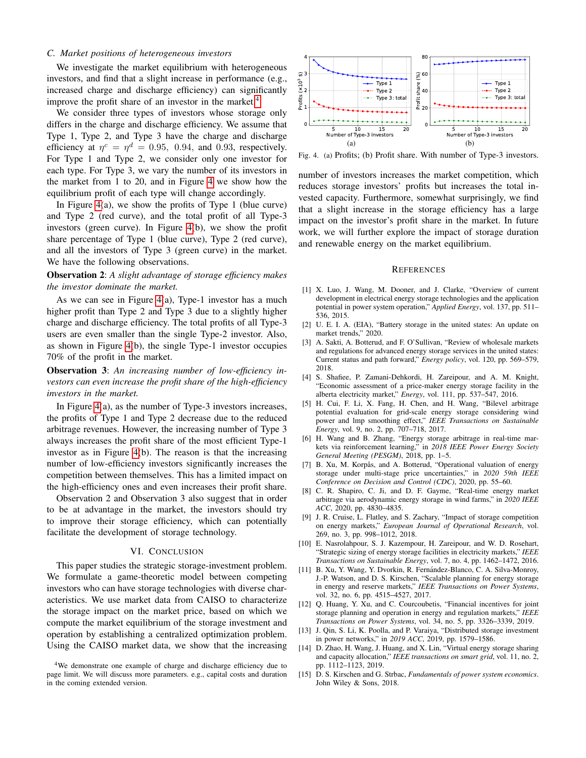# *C. Market positions of heterogeneous investors*

We investigate the market equilibrium with heterogeneous investors, and find that a slight increase in performance (e.g., increased charge and discharge efficiency) can significantly improve the profit share of an investor in the market.<sup>[4](#page-4-14)</sup>

We consider three types of investors whose storage only differs in the charge and discharge efficiency. We assume that Type 1, Type 2, and Type 3 have the charge and discharge efficiency at  $\eta^c = \eta^d = 0.95, 0.94,$  and 0.93, respectively. For Type 1 and Type 2, we consider only one investor for each type. For Type 3, we vary the number of its investors in the market from 1 to 20, and in Figure [4](#page-4-15) we show how the equilibrium profit of each type will change accordingly.

In Figure  $4(a)$ , we show the profits of Type 1 (blue curve) and Type 2 (red curve), and the total profit of all Type-3 investors (green curve). In Figure [4\(](#page-4-15)b), we show the profit share percentage of Type 1 (blue curve), Type 2 (red curve), and all the investors of Type 3 (green curve) in the market. We have the following observations.

Observation 2: *A slight advantage of storage efficiency makes the investor dominate the market.*

As we can see in Figure  $4(a)$ , Type-1 investor has a much higher profit than Type 2 and Type 3 due to a slightly higher charge and discharge efficiency. The total profits of all Type-3 users are even smaller than the single Type-2 investor. Also, as shown in Figure [4\(](#page-4-15)b), the single Type-1 investor occupies 70% of the profit in the market.

Observation 3: *An increasing number of low-efficiency investors can even increase the profit share of the high-efficiency investors in the market.*

In Figure [4\(](#page-4-15)a), as the number of Type-3 investors increases, the profits of Type 1 and Type 2 decrease due to the reduced arbitrage revenues. However, the increasing number of Type 3 always increases the profit share of the most efficient Type-1 investor as in Figure [4\(](#page-4-15)b). The reason is that the increasing number of low-efficiency investors significantly increases the competition between themselves. This has a limited impact on the high-efficiency ones and even increases their profit share.

Observation 2 and Observation 3 also suggest that in order to be at advantage in the market, the investors should try to improve their storage efficiency, which can potentially facilitate the development of storage technology.

# VI. CONCLUSION

This paper studies the strategic storage-investment problem. We formulate a game-theoretic model between competing investors who can have storage technologies with diverse characteristics. We use market data from CAISO to characterize the storage impact on the market price, based on which we compute the market equilibrium of the storage investment and operation by establishing a centralized optimization problem. Using the CAISO market data, we show that the increasing



<span id="page-4-15"></span>Fig. 4. (a) Profits; (b) Profit share. With number of Type-3 investors.

number of investors increases the market competition, which reduces storage investors' profits but increases the total invested capacity. Furthermore, somewhat surprisingly, we find that a slight increase in the storage efficiency has a large impact on the investor's profit share in the market. In future work, we will further explore the impact of storage duration and renewable energy on the market equilibrium.

#### REFERENCES

- <span id="page-4-0"></span>[1] X. Luo, J. Wang, M. Dooner, and J. Clarke, "Overview of current development in electrical energy storage technologies and the application potential in power system operation," *Applied Energy*, vol. 137, pp. 511– 536, 2015.
- <span id="page-4-1"></span>[2] U. E. I. A. (EIA), "Battery storage in the united states: An update on market trends," 2020.
- <span id="page-4-2"></span>[3] A. Sakti, A. Botterud, and F. O'Sullivan, "Review of wholesale markets and regulations for advanced energy storage services in the united states: Current status and path forward," *Energy policy*, vol. 120, pp. 569–579, 2018.
- <span id="page-4-3"></span>[4] S. Shafiee, P. Zamani-Dehkordi, H. Zareipour, and A. M. Knight, "Economic assessment of a price-maker energy storage facility in the alberta electricity market," *Energy*, vol. 111, pp. 537–547, 2016.
- <span id="page-4-4"></span>[5] H. Cui, F. Li, X. Fang, H. Chen, and H. Wang, "Bilevel arbitrage potential evaluation for grid-scale energy storage considering wind power and lmp smoothing effect," *IEEE Transactions on Sustainable Energy*, vol. 9, no. 2, pp. 707–718, 2017.
- <span id="page-4-5"></span>[6] H. Wang and B. Zhang, "Energy storage arbitrage in real-time markets via reinforcement learning," in *2018 IEEE Power Energy Society General Meeting (PESGM)*, 2018, pp. 1–5.
- [7] B. Xu, M. Korpås, and A. Botterud, "Operational valuation of energy storage under multi-stage price uncertainties," in *2020 59th IEEE Conference on Decision and Control (CDC)*, 2020, pp. 55–60.
- <span id="page-4-6"></span>[8] C. R. Shapiro, C. Ji, and D. F. Gayme, "Real-time energy market arbitrage via aerodynamic energy storage in wind farms," in *2020 IEEE ACC*, 2020, pp. 4830–4835.
- <span id="page-4-7"></span>[9] J. R. Cruise, L. Flatley, and S. Zachary, "Impact of storage competition on energy markets," *European Journal of Operational Research*, vol. 269, no. 3, pp. 998–1012, 2018.
- <span id="page-4-8"></span>[10] E. Nasrolahpour, S. J. Kazempour, H. Zareipour, and W. D. Rosehart, "Strategic sizing of energy storage facilities in electricity markets," *IEEE Transactions on Sustainable Energy*, vol. 7, no. 4, pp. 1462–1472, 2016.
- <span id="page-4-13"></span>[11] B. Xu, Y. Wang, Y. Dvorkin, R. Fernández-Blanco, C. A. Silva-Monroy, J.-P. Watson, and D. S. Kirschen, "Scalable planning for energy storage in energy and reserve markets," *IEEE Transactions on Power Systems*, vol. 32, no. 6, pp. 4515–4527, 2017.
- <span id="page-4-9"></span>[12] O. Huang, Y. Xu, and C. Courcoubetis, "Financial incentives for joint storage planning and operation in energy and regulation markets," *IEEE Transactions on Power Systems*, vol. 34, no. 5, pp. 3326–3339, 2019.
- <span id="page-4-10"></span>[13] J. Qin, S. Li, K. Poolla, and P. Varaiya, "Distributed storage investment in power networks," in *2019 ACC*, 2019, pp. 1579–1586.
- <span id="page-4-11"></span>[14] D. Zhao, H. Wang, J. Huang, and X. Lin, "Virtual energy storage sharing and capacity allocation," *IEEE transactions on smart grid*, vol. 11, no. 2, pp. 1112–1123, 2019.
- <span id="page-4-12"></span>[15] D. S. Kirschen and G. Strbac, *Fundamentals of power system economics*. John Wiley & Sons, 2018.

<span id="page-4-14"></span><sup>&</sup>lt;sup>4</sup>We demonstrate one example of charge and discharge efficiency due to page limit. We will discuss more parameters. e.g., capital costs and duration in the coming extended version.